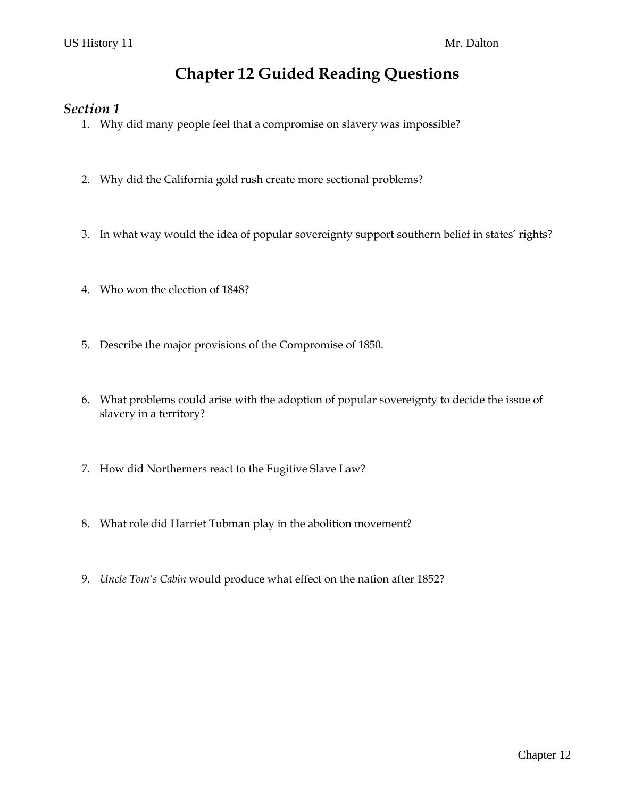# **Chapter 12 Guided Reading Questions**

### *Section 1*

- 1. Why did many people feel that a compromise on slavery was impossible?
- 2. Why did the California gold rush create more sectional problems?
- 3. In what way would the idea of popular sovereignty support southern belief in states' rights?
- 4. Who won the election of 1848?
- 5. Describe the major provisions of the Compromise of 1850.
- 6. What problems could arise with the adoption of popular sovereignty to decide the issue of slavery in a territory?
- 7. How did Northerners react to the Fugitive Slave Law?
- 8. What role did Harriet Tubman play in the abolition movement?
- 9. *Uncle Tom's Cabin* would produce what effect on the nation after 1852?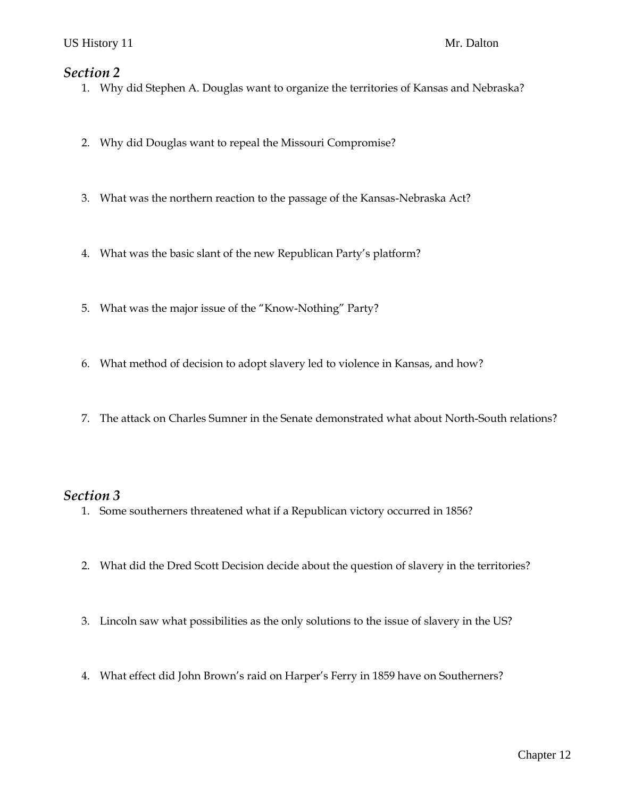#### *Section 2*

- 1. Why did Stephen A. Douglas want to organize the territories of Kansas and Nebraska?
- 2. Why did Douglas want to repeal the Missouri Compromise?
- 3. What was the northern reaction to the passage of the Kansas-Nebraska Act?
- 4. What was the basic slant of the new Republican Party's platform?
- 5. What was the major issue of the "Know-Nothing" Party?
- 6. What method of decision to adopt slavery led to violence in Kansas, and how?
- 7. The attack on Charles Sumner in the Senate demonstrated what about North-South relations?

### *Section 3*

- 1. Some southerners threatened what if a Republican victory occurred in 1856?
- 2. What did the Dred Scott Decision decide about the question of slavery in the territories?
- 3. Lincoln saw what possibilities as the only solutions to the issue of slavery in the US?
- 4. What effect did John Brown's raid on Harper's Ferry in 1859 have on Southerners?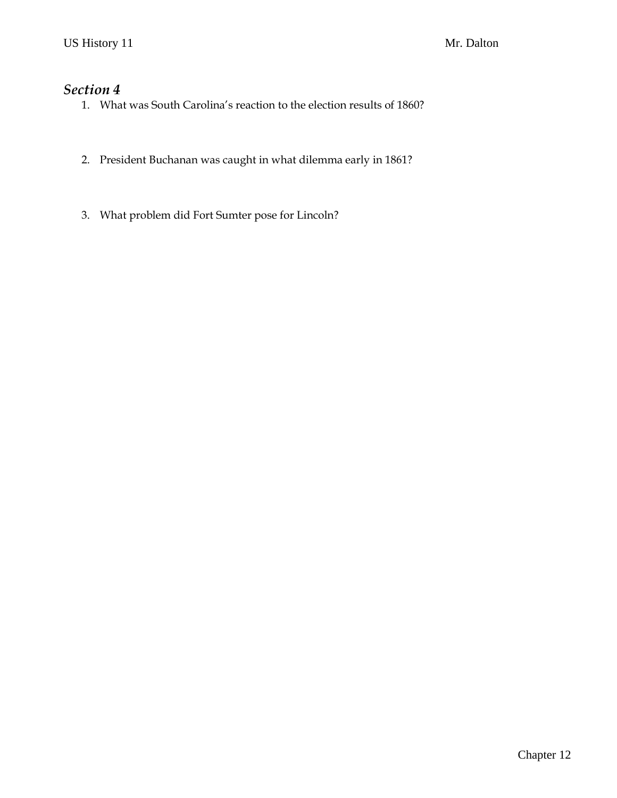## *Section 4*

- 1. What was South Carolina's reaction to the election results of 1860?
- 2. President Buchanan was caught in what dilemma early in 1861?
- 3. What problem did Fort Sumter pose for Lincoln?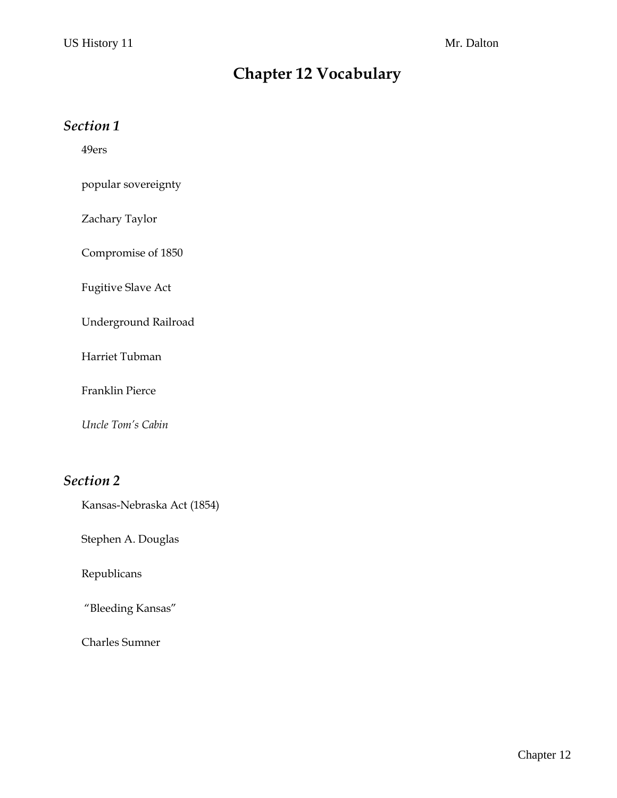# **Chapter 12 Vocabulary**

## *Section 1*

49ers

popular sovereignty

Zachary Taylor

Compromise of 1850

Fugitive Slave Act

Underground Railroad

Harriet Tubman

Franklin Pierce

*Uncle Tom's Cabin*

## *Section 2*

Kansas-Nebraska Act (1854)

Stephen A. Douglas

Republicans

"Bleeding Kansas"

Charles Sumner